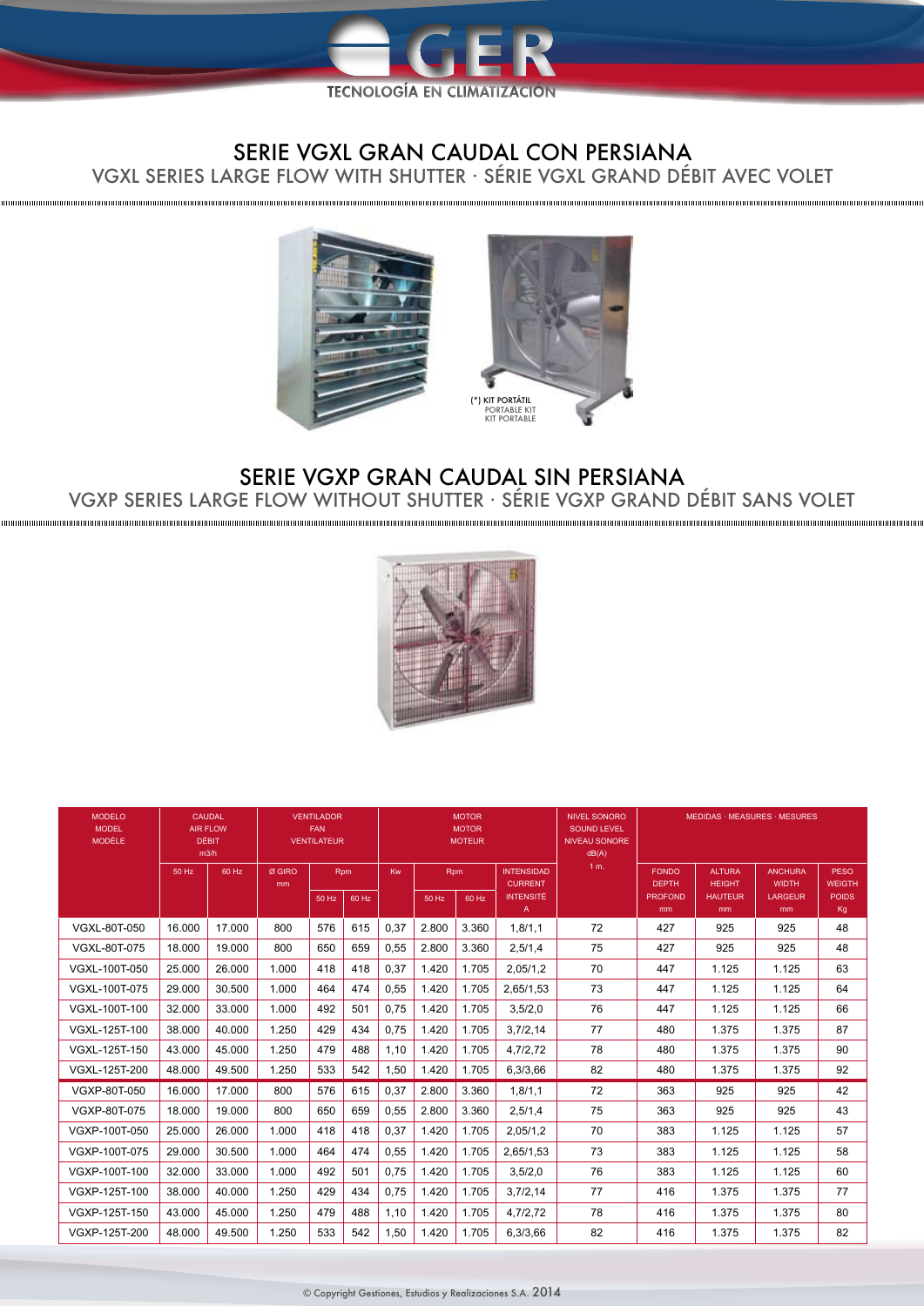

## SERIE VGXL GRAN CAUDAL CON PERSIANA

VGXL SERIES LARGE FLOW WITH SHUTTER · SÉRIE VGXL GRAND DÉBIT AVEC VOLET

,,,,,,,,,,,,,,,,,,



## SERIE VGXP GRAN CAUDAL SIN PERSIANA VGXP SERIES LARGE FLOW WITHOUT SHUTTER · SÉRIE VGXP GRAND DÉBIT SANS VOLET



| <b>MODELO</b><br><b>MODEL</b><br><b>MODÈLE</b> | CAUDAL<br><b>AIR FLOW</b><br><b>DÉBIT</b><br>m3/h |        | <b>VENTILADOR</b><br><b>FAN</b><br><b>VENTILATEUR</b> |       |       | <b>MOTOR</b><br><b>MOTOR</b><br><b>MOTEUR</b> |       |       |                                     | <b>NIVEL SONORO</b><br><b>SOUND LEVEL</b><br><b>NIVEAU SONORE</b><br>dB(A) | MEDIDAS · MEASURES · MESURES |                                |                                |                              |
|------------------------------------------------|---------------------------------------------------|--------|-------------------------------------------------------|-------|-------|-----------------------------------------------|-------|-------|-------------------------------------|----------------------------------------------------------------------------|------------------------------|--------------------------------|--------------------------------|------------------------------|
|                                                | 50 Hz                                             | 60 Hz  | Ø GIRO<br>mm                                          | Rpm   |       | Kw                                            | Rpm   |       | <b>INTENSIDAD</b><br><b>CURRENT</b> | 1 m.                                                                       | <b>FONDO</b><br><b>DEPTH</b> | <b>ALTURA</b><br><b>HEIGHT</b> | <b>ANCHURA</b><br><b>WIDTH</b> | <b>PESO</b><br><b>WEIGTH</b> |
|                                                |                                                   |        |                                                       | 50 Hz | 60 Hz |                                               | 50 Hz | 60 Hz | <b>INTENSITÉ</b><br>A               |                                                                            | <b>PROFOND</b><br>mm         | <b>HAUTEUR</b><br>mm           | <b>LARGEUR</b><br>mm           | <b>POIDS</b><br>Kg           |
| VGXL-80T-050                                   | 16.000                                            | 17.000 | 800                                                   | 576   | 615   | 0,37                                          | 2.800 | 3.360 | 1,8/1,1                             | 72                                                                         | 427                          | 925                            | 925                            | 48                           |
| <b>VGXL-80T-075</b>                            | 18.000                                            | 19.000 | 800                                                   | 650   | 659   | 0,55                                          | 2.800 | 3.360 | 2.5/1.4                             | 75                                                                         | 427                          | 925                            | 925                            | 48                           |
| VGXL-100T-050                                  | 25.000                                            | 26.000 | 1.000                                                 | 418   | 418   | 0.37                                          | 1.420 | 1.705 | 2,05/1,2                            | 70                                                                         | 447                          | 1.125                          | 1.125                          | 63                           |
| VGXL-100T-075                                  | 29,000                                            | 30.500 | 1.000                                                 | 464   | 474   | 0,55                                          | 1.420 | 1.705 | 2.65/1.53                           | 73                                                                         | 447                          | 1.125                          | 1.125                          | 64                           |
| VGXL-100T-100                                  | 32.000                                            | 33.000 | 1.000                                                 | 492   | 501   | 0.75                                          | 1.420 | 1.705 | 3,5/2,0                             | 76                                                                         | 447                          | 1.125                          | 1.125                          | 66                           |
| VGXL-125T-100                                  | 38.000                                            | 40.000 | 1.250                                                 | 429   | 434   | 0.75                                          | 1.420 | 1.705 | 3.7/2.14                            | 77                                                                         | 480                          | 1.375                          | 1.375                          | 87                           |
| VGXL-125T-150                                  | 43.000                                            | 45.000 | 1.250                                                 | 479   | 488   | 1,10                                          | 1.420 | 1.705 | 4,7/2,72                            | 78                                                                         | 480                          | 1.375                          | 1.375                          | 90                           |
| VGXL-125T-200                                  | 48.000                                            | 49.500 | 1.250                                                 | 533   | 542   | 1,50                                          | 1.420 | 1.705 | 6.3/3.66                            | 82                                                                         | 480                          | 1.375                          | 1.375                          | 92                           |
| VGXP-80T-050                                   | 16.000                                            | 17.000 | 800                                                   | 576   | 615   | 0,37                                          | 2.800 | 3.360 | 1.8/1.1                             | 72                                                                         | 363                          | 925                            | 925                            | 42                           |
| VGXP-80T-075                                   | 18.000                                            | 19.000 | 800                                                   | 650   | 659   | 0,55                                          | 2.800 | 3.360 | 2.5/1.4                             | 75                                                                         | 363                          | 925                            | 925                            | 43                           |
| VGXP-100T-050                                  | 25.000                                            | 26.000 | 1.000                                                 | 418   | 418   | 0,37                                          | 1.420 | 1.705 | 2,05/1,2                            | 70                                                                         | 383                          | 1.125                          | 1.125                          | 57                           |
| VGXP-100T-075                                  | 29.000                                            | 30.500 | 1.000                                                 | 464   | 474   | 0,55                                          | 1.420 | 1.705 | 2,65/1,53                           | 73                                                                         | 383                          | 1.125                          | 1.125                          | 58                           |
| VGXP-100T-100                                  | 32.000                                            | 33.000 | 1.000                                                 | 492   | 501   | 0,75                                          | 1.420 | 1.705 | 3,5/2,0                             | 76                                                                         | 383                          | 1.125                          | 1.125                          | 60                           |
| VGXP-125T-100                                  | 38.000                                            | 40.000 | 1.250                                                 | 429   | 434   | 0,75                                          | 1.420 | 1.705 | 3,7/2,14                            | 77                                                                         | 416                          | 1.375                          | 1.375                          | 77                           |
| VGXP-125T-150                                  | 43.000                                            | 45.000 | 1.250                                                 | 479   | 488   | 1,10                                          | 1.420 | 1.705 | 4,7/2,72                            | 78                                                                         | 416                          | 1.375                          | 1.375                          | 80                           |
| VGXP-125T-200                                  | 48.000                                            | 49.500 | 1.250                                                 | 533   | 542   | 1,50                                          | 1.420 | 1.705 | 6,3/3,66                            | 82                                                                         | 416                          | 1.375                          | 1.375                          | 82                           |